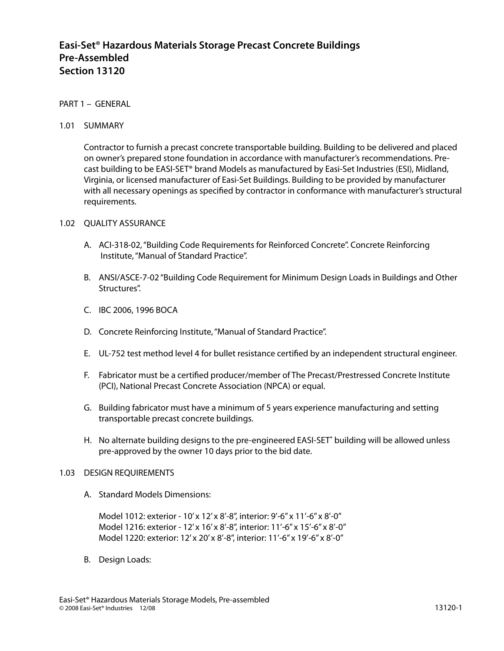# **Easi-Set® Hazardous Materials Storage Precast Concrete Buildings Pre-Assembled Section 13120**

# PART 1 – GENERAL

### 1.01 SUMMARY

Contractor to furnish a precast concrete transportable building. Building to be delivered and placed on owner's prepared stone foundation in accordance with manufacturer's recommendations. Precast building to be EASI-SET® brand Models as manufactured by Easi-Set Industries (ESI), Midland, Virginia, or licensed manufacturer of Easi-Set Buildings. Building to be provided by manufacturer with all necessary openings as specified by contractor in conformance with manufacturer's structural requirements.

### 1.02 OUALITY ASSURANCE

- A. ACI-318-02, "Building Code Requirements for Reinforced Concrete". Concrete Reinforcing Institute, "Manual of Standard Practice".
- B. ANSI/ASCE-7-02 "Building Code Requirement for Minimum Design Loads in Buildings and Other Structures".
- C. IBC 2006, 1996 BOCA
- D. Concrete Reinforcing Institute, "Manual of Standard Practice".
- E. UL-752 test method level 4 for bullet resistance certified by an independent structural engineer.
- F. Fabricator must be a certified producer/member of The Precast/Prestressed Concrete Institute (PCI), National Precast Concrete Association (NPCA) or equal.
- G. Building fabricator must have a minimum of 5 years experience manufacturing and setting transportable precast concrete buildings.
- H. No alternate building designs to the pre-engineered EASI-SET**®** building will be allowed unless pre-approved by the owner 10 days prior to the bid date.

#### 1.03 DESIGN REQUIREMENTS

A. Standard Models Dimensions:

Model 1012: exterior - 10' x 12' x 8'-8", interior: 9'-6" x 11'-6" x 8'-0" Model 1216: exterior - 12' x 16' x 8'-8", interior: 11'-6" x 15'-6" x 8'-0" Model 1220: exterior: 12' x 20' x 8'-8", interior: 11'-6" x 19'-6" x 8'-0"

B. Design Loads: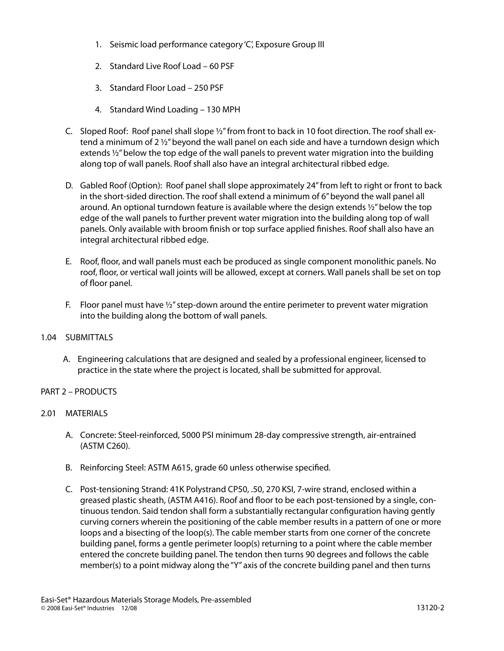- 1. Seismic load performance category 'C', Exposure Group III
- 2. Standard Live Roof Load 60 PSF
- 3. Standard Floor Load 250 PSF
- 4. Standard Wind Loading 130 MPH
- C. Sloped Roof: Roof panel shall slope ½" from front to back in 10 foot direction. The roof shall extend a minimum of 2  $\frac{1}{2}$  beyond the wall panel on each side and have a turndown design which extends ½" below the top edge of the wall panels to prevent water migration into the building along top of wall panels. Roof shall also have an integral architectural ribbed edge.
- D. Gabled Roof (Option): Roof panel shall slope approximately 24" from left to right or front to back in the short-sided direction. The roof shall extend a minimum of 6" beyond the wall panel all around. An optional turndown feature is available where the design extends 1/2" below the top edge of the wall panels to further prevent water migration into the building along top of wall panels. Only available with broom finish or top surface applied finishes. Roof shall also have an integral architectural ribbed edge.
- E. Roof, floor, and wall panels must each be produced as single component monolithic panels. No roof, floor, or vertical wall joints will be allowed, except at corners. Wall panels shall be set on top of floor panel.
- F. Floor panel must have  $\frac{1}{2}$ " step-down around the entire perimeter to prevent water migration into the building along the bottom of wall panels.

### 1.04 SUBMITTALS

A. Engineering calculations that are designed and sealed by a professional engineer, licensed to practice in the state where the project is located, shall be submitted for approval.

# PART 2 – PRODUCTS

### 2.01 MATERIALS

- A. Concrete: Steel-reinforced, 5000 PSI minimum 28-day compressive strength, air-entrained (ASTM C260).
- B. Reinforcing Steel: ASTM A615, grade 60 unless otherwise specified.
- C. Post-tensioning Strand: 41K Polystrand CP50, .50, 270 KSI, 7-wire strand, enclosed within a greased plastic sheath, (ASTM A416). Roof and floor to be each post-tensioned by a single, continuous tendon. Said tendon shall form a substantially rectangular configuration having gently curving corners wherein the positioning of the cable member results in a pattern of one or more loops and a bisecting of the loop(s). The cable member starts from one corner of the concrete building panel, forms a gentle perimeter loop(s) returning to a point where the cable member entered the concrete building panel. The tendon then turns 90 degrees and follows the cable member(s) to a point midway along the "Y" axis of the concrete building panel and then turns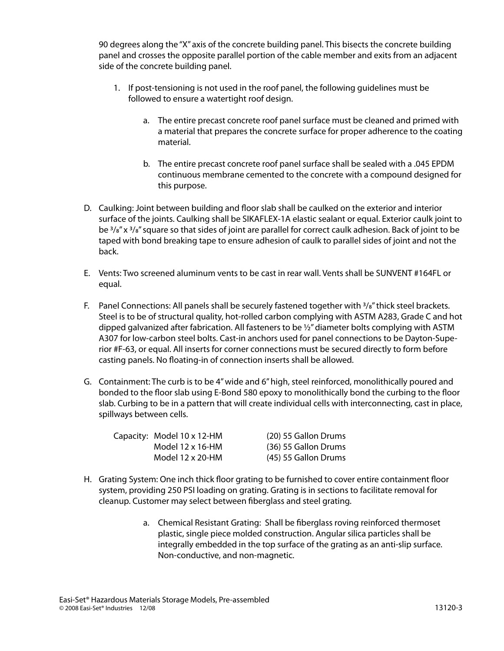90 degrees along the "X" axis of the concrete building panel. This bisects the concrete building panel and crosses the opposite parallel portion of the cable member and exits from an adjacent side of the concrete building panel.

- 1. If post-tensioning is not used in the roof panel, the following guidelines must be followed to ensure a watertight roof design.
	- a. The entire precast concrete roof panel surface must be cleaned and primed with a material that prepares the concrete surface for proper adherence to the coating material.
	- b. The entire precast concrete roof panel surface shall be sealed with a .045 EPDM continuous membrane cemented to the concrete with a compound designed for this purpose.
- D. Caulking: Joint between building and floor slab shall be caulked on the exterior and interior surface of the joints. Caulking shall be SIKAFLEX-1A elastic sealant or equal. Exterior caulk joint to be  $3/8$ " x  $3/8$ " square so that sides of joint are parallel for correct caulk adhesion. Back of joint to be taped with bond breaking tape to ensure adhesion of caulk to parallel sides of joint and not the back.
- E. Vents: Two screened aluminum vents to be cast in rear wall. Vents shall be SUNVENT #164FL or equal.
- F. Panel Connections: All panels shall be securely fastened together with  $\frac{3}{8}$ " thick steel brackets. Steel is to be of structural quality, hot-rolled carbon complying with ASTM A283, Grade C and hot dipped galvanized after fabrication. All fasteners to be  $\frac{1}{2}$ " diameter bolts complying with ASTM A307 for low-carbon steel bolts. Cast-in anchors used for panel connections to be Dayton-Superior #F-63, or equal. All inserts for corner connections must be secured directly to form before casting panels. No floating-in of connection inserts shall be allowed.
- G. Containment: The curb is to be 4" wide and 6" high, steel reinforced, monolithically poured and bonded to the floor slab using E-Bond 580 epoxy to monolithically bond the curbing to the floor slab. Curbing to be in a pattern that will create individual cells with interconnecting, cast in place, spillways between cells.

| Capacity: Model 10 x 12-HM | (20) 55 Gallon Drums |
|----------------------------|----------------------|
| Model $12 \times 16$ -HM   | (36) 55 Gallon Drums |
| Model 12 x 20-HM           | (45) 55 Gallon Drums |

- H. Grating System: One inch thick floor grating to be furnished to cover entire containment floor system, providing 250 PSI loading on grating. Grating is in sections to facilitate removal for cleanup. Customer may select between fiberglass and steel grating.
	- a. Chemical Resistant Grating: Shall be fiberglass roving reinforced thermoset plastic, single piece molded construction. Angular silica particles shall be integrally embedded in the top surface of the grating as an anti-slip surface. Non-conductive, and non-magnetic.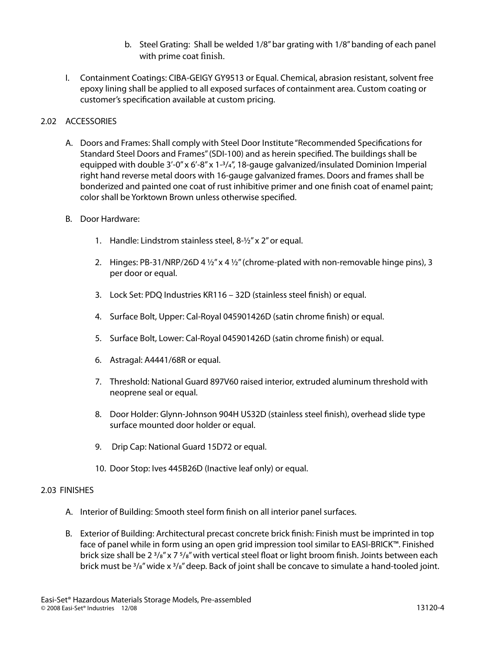- b. Steel Grating: Shall be welded 1/8" bar grating with 1/8" banding of each panel with prime coat finish.
- I. Containment Coatings: CIBA-GEIGY GY9513 or Equal. Chemical, abrasion resistant, solvent free epoxy lining shall be applied to all exposed surfaces of containment area. Custom coating or customer's specification available at custom pricing.

# 2.02 ACCESSORIES

- A. Doors and Frames: Shall comply with Steel Door Institute "Recommended Specifications for Standard Steel Doors and Frames" (SDI-100) and as herein specified. The buildings shall be equipped with double 3'-0" x 6'-8" x 1-3/4", 18-gauge galvanized/insulated Dominion Imperial right hand reverse metal doors with 16-gauge galvanized frames. Doors and frames shall be bonderized and painted one coat of rust inhibitive primer and one finish coat of enamel paint; color shall be Yorktown Brown unless otherwise specified.
- B. Door Hardware:
	- 1. Handle: Lindstrom stainless steel, 8-½" x 2" or equal.
	- 2. Hinges: PB-31/NRP/26D 4  $\frac{1}{2}$ " x 4  $\frac{1}{2}$ " (chrome-plated with non-removable hinge pins), 3 per door or equal.
	- 3. Lock Set: PDQ Industries KR116 32D (stainless steel finish) or equal.
	- 4. Surface Bolt, Upper: Cal-Royal 045901426D (satin chrome finish) or equal.
	- 5. Surface Bolt, Lower: Cal-Royal 045901426D (satin chrome finish) or equal.
	- 6. Astragal: A4441/68R or equal.
	- 7. Threshold: National Guard 897V60 raised interior, extruded aluminum threshold with neoprene seal or equal.
	- 8. Door Holder: Glynn-Johnson 904H US32D (stainless steel finish), overhead slide type surface mounted door holder or equal.
	- 9. Drip Cap: National Guard 15D72 or equal.
	- 10. Door Stop: Ives 445B26D (Inactive leaf only) or equal.

# 2.03 FINISHES

- A. Interior of Building: Smooth steel form finish on all interior panel surfaces.
- B. Exterior of Building: Architectural precast concrete brick finish: Finish must be imprinted in top face of panel while in form using an open grid impression tool similar to EASI-BRICK™. Finished brick size shall be  $2^{3}/s''$  x 7 $5/s''$  with vertical steel float or light broom finish. Joints between each brick must be  $\frac{3}{8}$ " wide x  $\frac{3}{8}$ " deep. Back of joint shall be concave to simulate a hand-tooled joint.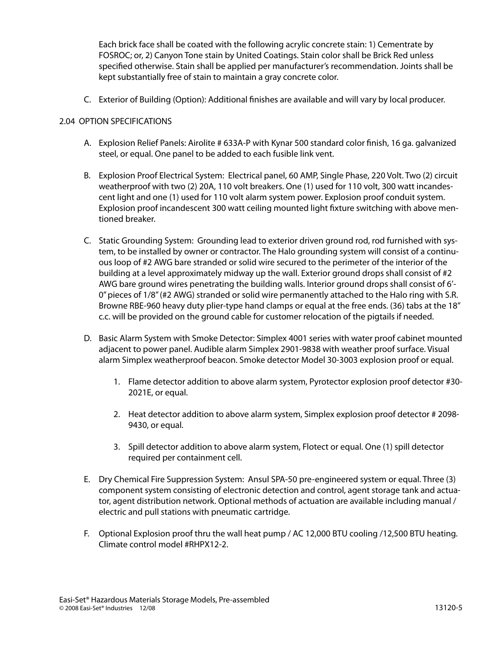Each brick face shall be coated with the following acrylic concrete stain: 1) Cementrate by FOSROC; or, 2) Canyon Tone stain by United Coatings. Stain color shall be Brick Red unless specified otherwise. Stain shall be applied per manufacturer's recommendation. Joints shall be kept substantially free of stain to maintain a gray concrete color.

C. Exterior of Building (Option): Additional finishes are available and will vary by local producer.

# 2.04 OPTION SPECIFICATIONS

- A. Explosion Relief Panels: Airolite # 633A-P with Kynar 500 standard color finish, 16 ga. galvanized steel, or equal. One panel to be added to each fusible link vent.
- B. Explosion Proof Electrical System: Electrical panel, 60 AMP, Single Phase, 220 Volt. Two (2) circuit weatherproof with two (2) 20A, 110 volt breakers. One (1) used for 110 volt, 300 watt incandescent light and one (1) used for 110 volt alarm system power. Explosion proof conduit system. Explosion proof incandescent 300 watt ceiling mounted light fixture switching with above mentioned breaker.
- C. Static Grounding System: Grounding lead to exterior driven ground rod, rod furnished with system, to be installed by owner or contractor. The Halo grounding system will consist of a continuous loop of #2 AWG bare stranded or solid wire secured to the perimeter of the interior of the building at a level approximately midway up the wall. Exterior ground drops shall consist of #2 AWG bare ground wires penetrating the building walls. Interior ground drops shall consist of 6'- 0" pieces of 1/8" (#2 AWG) stranded or solid wire permanently attached to the Halo ring with S.R. Browne RBE-960 heavy duty plier-type hand clamps or equal at the free ends. (36) tabs at the 18" c.c. will be provided on the ground cable for customer relocation of the pigtails if needed.
- D. Basic Alarm System with Smoke Detector: Simplex 4001 series with water proof cabinet mounted adjacent to power panel. Audible alarm Simplex 2901-9838 with weather proof surface. Visual alarm Simplex weatherproof beacon. Smoke detector Model 30-3003 explosion proof or equal.
	- 1. Flame detector addition to above alarm system, Pyrotector explosion proof detector #30- 2021E, or equal.
	- 2. Heat detector addition to above alarm system, Simplex explosion proof detector # 2098- 9430, or equal.
	- 3. Spill detector addition to above alarm system, Flotect or equal. One (1) spill detector required per containment cell.
- E. Dry Chemical Fire Suppression System: Ansul SPA-50 pre-engineered system or equal. Three (3) component system consisting of electronic detection and control, agent storage tank and actuator, agent distribution network. Optional methods of actuation are available including manual / electric and pull stations with pneumatic cartridge.
- F. Optional Explosion proof thru the wall heat pump / AC 12,000 BTU cooling /12,500 BTU heating. Climate control model #RHPX12-2.